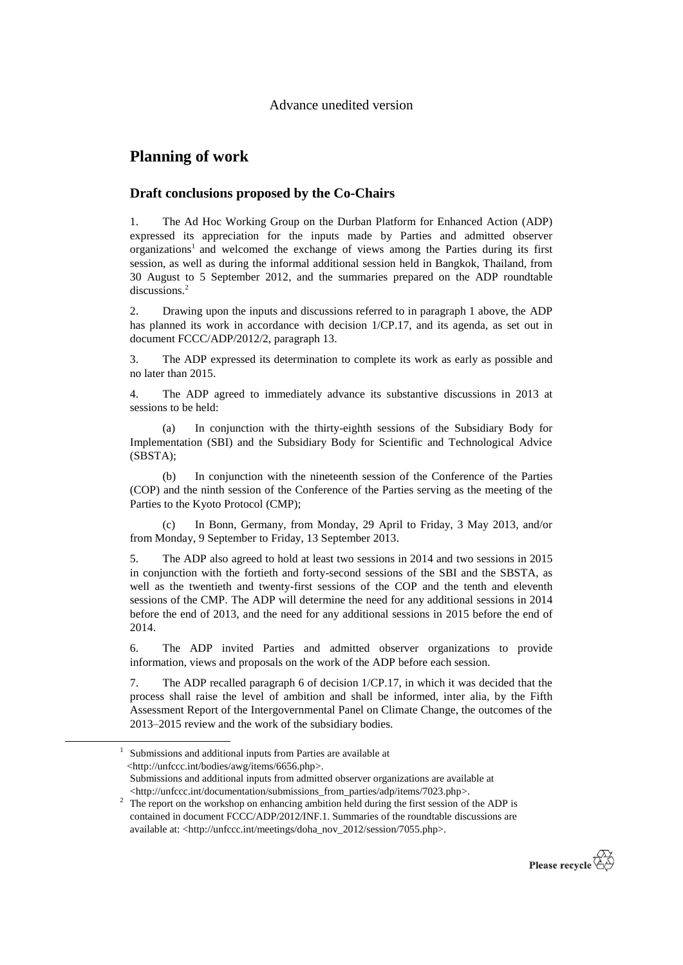## **Planning of work**

-

## **Draft conclusions proposed by the Co-Chairs**

1. The Ad Hoc Working Group on the Durban Platform for Enhanced Action (ADP) expressed its appreciation for the inputs made by Parties and admitted observer organizations<sup>1</sup> and welcomed the exchange of views among the Parties during its first session, as well as during the informal additional session held in Bangkok, Thailand, from 30 August to 5 September 2012, and the summaries prepared on the ADP roundtable discussions.<sup>2</sup>

2. Drawing upon the inputs and discussions referred to in paragraph 1 above, the ADP has planned its work in accordance with decision 1/CP.17, and its agenda, as set out in document FCCC/ADP/2012/2, paragraph 13.

3. The ADP expressed its determination to complete its work as early as possible and no later than 2015.

4. The ADP agreed to immediately advance its substantive discussions in 2013 at sessions to be held:

(a) In conjunction with the thirty-eighth sessions of the Subsidiary Body for Implementation (SBI) and the Subsidiary Body for Scientific and Technological Advice (SBSTA);

(b) In conjunction with the nineteenth session of the Conference of the Parties (COP) and the ninth session of the Conference of the Parties serving as the meeting of the Parties to the Kyoto Protocol (CMP);

(c) In Bonn, Germany, from Monday, 29 April to Friday, 3 May 2013, and/or from Monday, 9 September to Friday, 13 September 2013.

5. The ADP also agreed to hold at least two sessions in 2014 and two sessions in 2015 in conjunction with the fortieth and forty-second sessions of the SBI and the SBSTA, as well as the twentieth and twenty-first sessions of the COP and the tenth and eleventh sessions of the CMP. The ADP will determine the need for any additional sessions in 2014 before the end of 2013, and the need for any additional sessions in 2015 before the end of 2014.

6. The ADP invited Parties and admitted observer organizations to provide information, views and proposals on the work of the ADP before each session.

7. The ADP recalled paragraph 6 of decision 1/CP.17, in which it was decided that the process shall raise the level of ambition and shall be informed, inter alia, by the Fifth Assessment Report of the Intergovernmental Panel on Climate Change, the outcomes of the 2013–2015 review and the work of the subsidiary bodies.

<sup>&</sup>lt;sup>2</sup> The report on the workshop on enhancing ambition held during the first session of the ADP is contained in document FCCC/ADP/2012/INF.1. Summaries of the roundtable discussions are available at: <http://unfccc.int/meetings/doha\_nov\_2012/session/7055.php>.



<sup>&</sup>lt;sup>1</sup> Submissions and additional inputs from Parties are available at <http://unfccc.int/bodies/awg/items/6656.php>. Submissions and additional inputs from admitted observer organizations are available at <http://unfccc.int/documentation/submissions\_from\_parties/adp/items/7023.php>.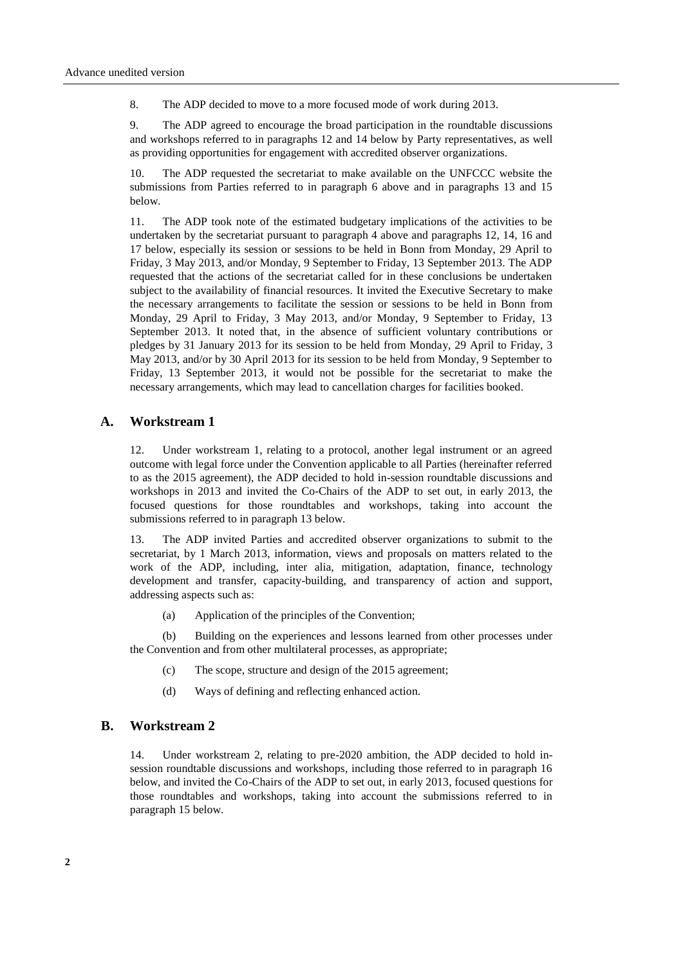8. The ADP decided to move to a more focused mode of work during 2013.

9. The ADP agreed to encourage the broad participation in the roundtable discussions and workshops referred to in paragraphs 12 and 14 below by Party representatives, as well as providing opportunities for engagement with accredited observer organizations.

10. The ADP requested the secretariat to make available on the UNFCCC website the submissions from Parties referred to in paragraph 6 above and in paragraphs 13 and 15 below.

11. The ADP took note of the estimated budgetary implications of the activities to be undertaken by the secretariat pursuant to paragraph 4 above and paragraphs 12, 14, 16 and 17 below, especially its session or sessions to be held in Bonn from Monday, 29 April to Friday, 3 May 2013, and/or Monday, 9 September to Friday, 13 September 2013. The ADP requested that the actions of the secretariat called for in these conclusions be undertaken subject to the availability of financial resources. It invited the Executive Secretary to make the necessary arrangements to facilitate the session or sessions to be held in Bonn from Monday, 29 April to Friday, 3 May 2013, and/or Monday, 9 September to Friday, 13 September 2013. It noted that, in the absence of sufficient voluntary contributions or pledges by 31 January 2013 for its session to be held from Monday, 29 April to Friday, 3 May 2013, and/or by 30 April 2013 for its session to be held from Monday, 9 September to Friday, 13 September 2013, it would not be possible for the secretariat to make the necessary arrangements, which may lead to cancellation charges for facilities booked.

## **A. Workstream 1**

12. Under workstream 1, relating to a protocol, another legal instrument or an agreed outcome with legal force under the Convention applicable to all Parties (hereinafter referred to as the 2015 agreement), the ADP decided to hold in-session roundtable discussions and workshops in 2013 and invited the Co-Chairs of the ADP to set out, in early 2013, the focused questions for those roundtables and workshops, taking into account the submissions referred to in paragraph 13 below.

13. The ADP invited Parties and accredited observer organizations to submit to the secretariat, by 1 March 2013, information, views and proposals on matters related to the work of the ADP, including, inter alia, mitigation, adaptation, finance, technology development and transfer, capacity-building, and transparency of action and support, addressing aspects such as:

(a) Application of the principles of the Convention;

(b) Building on the experiences and lessons learned from other processes under the Convention and from other multilateral processes, as appropriate;

- (c) The scope, structure and design of the 2015 agreement;
- (d) Ways of defining and reflecting enhanced action.

## **B. Workstream 2**

14. Under workstream 2, relating to pre-2020 ambition, the ADP decided to hold insession roundtable discussions and workshops, including those referred to in paragraph 16 below, and invited the Co-Chairs of the ADP to set out, in early 2013, focused questions for those roundtables and workshops, taking into account the submissions referred to in paragraph 15 below.